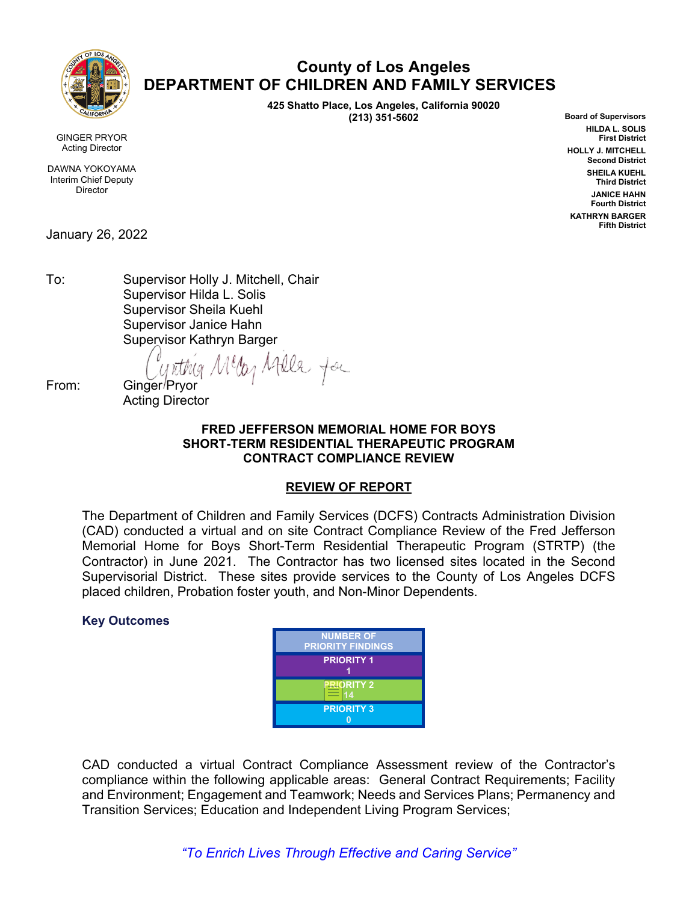

# **County of Los Angeles DEPARTMENT OF CHILDREN AND FAMILY SERVICES**

**425 Shatto Place, Los Angeles, California 90020 (213) 351-5602**

**Board of Supervisors HILDA L. SOLIS First District HOLLY J. MITCHELL Second District SHEILA KUEHL Third District JANICE HAHN Fourth District KATHRYN BARGER Fifth District**

GINGER PRYOR Acting Director

DAWNA YOKOYAMA Interim Chief Deputy Director

January 26, 2022

To: Supervisor Holly J. Mitchell, Chair Supervisor Hilda L. Solis Supervisor Sheila Kuehl Supervisor Janice Hahn Supervisor Kathryn Barger

From: Ginger Pryor Meday Afelle for

Acting Director

#### **FRED JEFFERSON MEMORIAL HOME FOR BOYS SHORT-TERM RESIDENTIAL THERAPEUTIC PROGRAM CONTRACT COMPLIANCE REVIEW**

### **REVIEW OF REPORT**

The Department of Children and Family Services (DCFS) Contracts Administration Division (CAD) conducted a virtual and on site Contract Compliance Review of the Fred Jefferson Memorial Home for Boys Short-Term Residential Therapeutic Program (STRTP) (the Contractor) in June 2021. The Contractor has two licensed sites located in the Second Supervisorial District. These sites provide services to the County of Los Angeles DCFS placed children, Probation foster youth, and Non-Minor Dependents.

#### **Key Outcomes**

| <b>NUMBER OF</b><br><b>PRIORITY FINDINGS</b> |
|----------------------------------------------|
| <b>PRIORITY 1</b>                            |
| <b>NORITY 2</b><br>14                        |
| <b>PRIORITY 3</b>                            |

CAD conducted a virtual Contract Compliance Assessment review of the Contractor's compliance within the following applicable areas: General Contract Requirements; Facility and Environment; Engagement and Teamwork; Needs and Services Plans; Permanency and Transition Services; Education and Independent Living Program Services;

*"To Enrich Lives Through Effective and Caring Service"*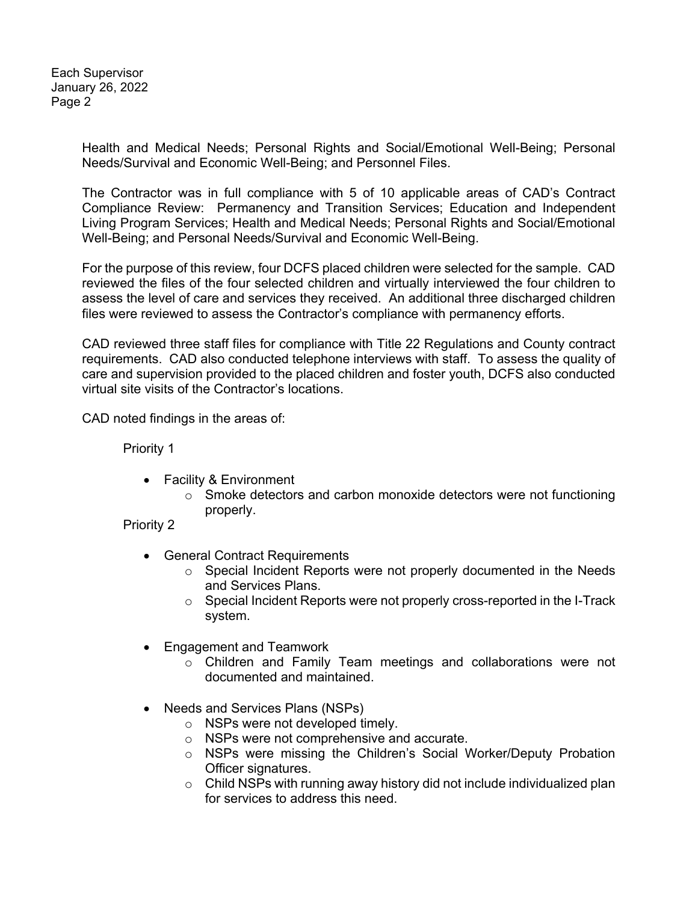Each Supervisor January 26, 2022 Page 2

> Health and Medical Needs; Personal Rights and Social/Emotional Well-Being; Personal Needs/Survival and Economic Well-Being; and Personnel Files.

> The Contractor was in full compliance with 5 of 10 applicable areas of CAD's Contract Compliance Review: Permanency and Transition Services; Education and Independent Living Program Services; Health and Medical Needs; Personal Rights and Social/Emotional Well-Being; and Personal Needs/Survival and Economic Well-Being.

> For the purpose of this review, four DCFS placed children were selected for the sample. CAD reviewed the files of the four selected children and virtually interviewed the four children to assess the level of care and services they received. An additional three discharged children files were reviewed to assess the Contractor's compliance with permanency efforts.

> CAD reviewed three staff files for compliance with Title 22 Regulations and County contract requirements. CAD also conducted telephone interviews with staff. To assess the quality of care and supervision provided to the placed children and foster youth, DCFS also conducted virtual site visits of the Contractor's locations.

CAD noted findings in the areas of:

Priority 1

- Facility & Environment
	- o Smoke detectors and carbon monoxide detectors were not functioning properly.

Priority 2

- General Contract Requirements
	- $\circ$  Special Incident Reports were not properly documented in the Needs and Services Plans.
	- o Special Incident Reports were not properly cross-reported in the I-Track system.
- Engagement and Teamwork
	- o Children and Family Team meetings and collaborations were not documented and maintained.
- Needs and Services Plans (NSPs)
	- o NSPs were not developed timely.
	- o NSPs were not comprehensive and accurate.
	- o NSPs were missing the Children's Social Worker/Deputy Probation Officer signatures.
	- $\circ$  Child NSPs with running away history did not include individualized plan for services to address this need.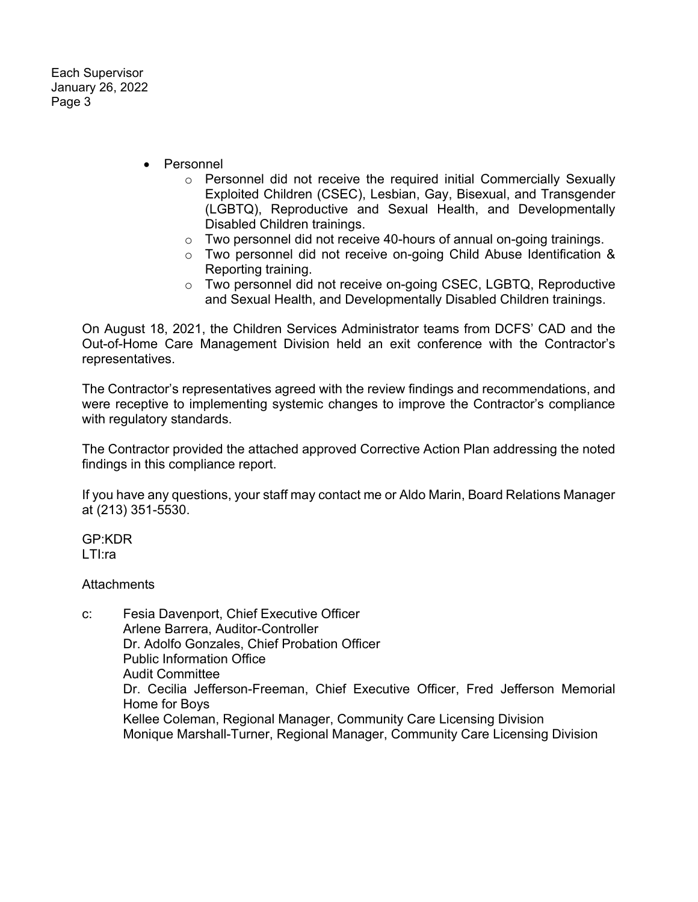Each Supervisor January 26, 2022 Page 3

- Personnel
	- $\circ$  Personnel did not receive the required initial Commercially Sexually Exploited Children (CSEC), Lesbian, Gay, Bisexual, and Transgender (LGBTQ), Reproductive and Sexual Health, and Developmentally Disabled Children trainings.
	- o Two personnel did not receive 40-hours of annual on-going trainings.
	- $\circ$  Two personnel did not receive on-going Child Abuse Identification & Reporting training.
	- o Two personnel did not receive on-going CSEC, LGBTQ, Reproductive and Sexual Health, and Developmentally Disabled Children trainings.

On August 18, 2021, the Children Services Administrator teams from DCFS' CAD and the Out-of-Home Care Management Division held an exit conference with the Contractor's representatives.

The Contractor's representatives agreed with the review findings and recommendations, and were receptive to implementing systemic changes to improve the Contractor's compliance with regulatory standards.

The Contractor provided the attached approved Corrective Action Plan addressing the noted findings in this compliance report.

If you have any questions, your staff may contact me or Aldo Marin, Board Relations Manager at (213) 351-5530.

GP:KDR LTI:ra

**Attachments** 

c: Fesia Davenport, Chief Executive Officer Arlene Barrera, Auditor-Controller Dr. Adolfo Gonzales, Chief Probation Officer Public Information Office Audit Committee Dr. Cecilia Jefferson-Freeman, Chief Executive Officer, Fred Jefferson Memorial Home for Boys Kellee Coleman, Regional Manager, Community Care Licensing Division Monique Marshall-Turner, Regional Manager, Community Care Licensing Division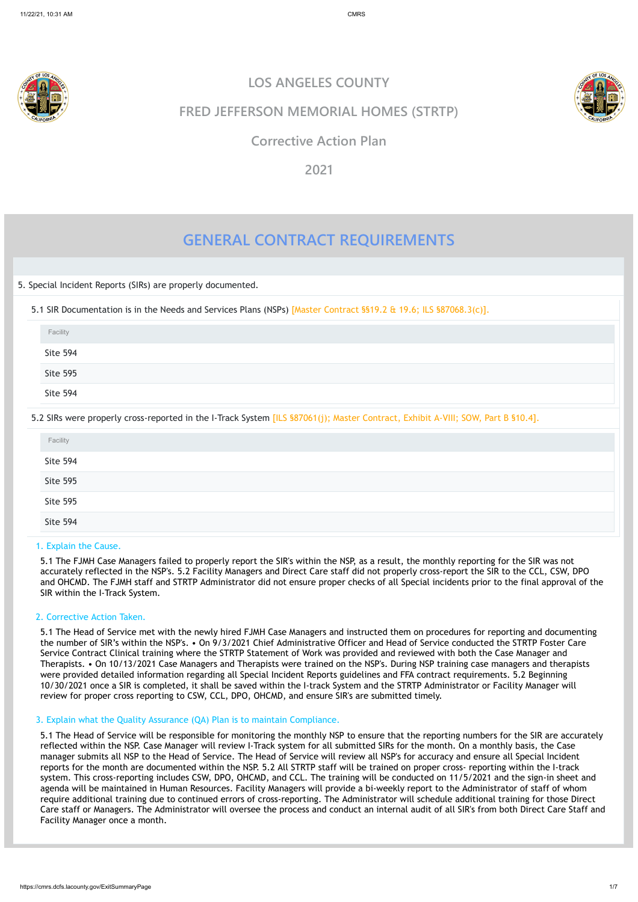

# **GENERAL CONTRACT REQUIREMENTS**

5. Special Incident Reports (SIRs) are properly documented.

5.1 SIR Documentation is in the Needs and Services Plans (NSPs) [Master Contract §§19.2 & 19.6; ILS §87068.3(c)].

5.2 SIRs were properly cross-reported in the I-Track System [ILS §87061(j); Master Contract, Exhibit A-VIII; SOW, Part B §10.4].

### 1. Explain the Cause.

5.1 The FJMH Case Managers failed to properly report the SIR's within the NSP, as a result, the monthly reporting for the SIR was not accurately reflected in the NSP's. 5.2 Facility Managers and Direct Care staff did not properly cross-report the SIR to the CCL, CSW, DPO and OHCMD. The FJMH staff and STRTP Administrator did not ensure proper checks of all Special incidents prior to the final approval of the SIR within the I-Track System.

### 2. Corrective Action Taken.

5.1 The Head of Service met with the newly hired FJMH Case Managers and instructed them on procedures for reporting and documenting the number of SIR's within the NSP's. • On 9/3/2021 Chief Administrative Officer and Head of Service conducted the STRTP Foster Care Service Contract Clinical training where the STRTP Statement of Work was provided and reviewed with both the Case Manager and Therapists. • On 10/13/2021 Case Managers and Therapists were trained on the NSP's. During NSP training case managers and therapists were provided detailed information regarding all Special Incident Reports guidelines and FFA contract requirements. 5.2 Beginning 10/30/2021 once a SIR is completed, it shall be saved within the I-track System and the STRTP Administrator or Facility Manager will review for proper cross reporting to CSW, CCL, DPO, OHCMD, and ensure SIR's are submitted timely.

| Facility                                             |  |  |
|------------------------------------------------------|--|--|
| <b>Site 594</b>                                      |  |  |
| <b>Contract Contract Contract</b><br><b>Site 595</b> |  |  |
| Site 594                                             |  |  |

| Facility |  |
|----------|--|
| Site 594 |  |
| Site 595 |  |
| Site 595 |  |
| Site 594 |  |

# 3. Explain what the Quality Assurance (QA) Plan is to maintain Compliance.

5.1 The Head of Service will be responsible for monitoring the monthly NSP to ensure that the reporting numbers for the SIR are accurately reflected within the NSP. Case Manager will review I-Track system for all submitted SIRs for the month. On a monthly basis, the Case manager submits all NSP to the Head of Service. The Head of Service will review all NSP's for accuracy and ensure all Special Incident reports for the month are documented within the NSP. 5.2 All STRTP staff will be trained on proper cross- reporting within the I-track system. This cross-reporting includes CSW, DPO, OHCMD, and CCL. The training will be conducted on 11/5/2021 and the sign-in sheet and agenda will be maintained in Human Resources. Facility Managers will provide a bi-weekly report to the Administrator of staff of whom require additional training due to continued errors of cross-reporting. The Administrator will schedule additional training for those Direct Care staff or Managers. The Administrator will oversee the process and conduct an internal audit of all SIR's from both Direct Care Staff and Facility Manager once a month.

**LOS ANGELES COUNTY**



# **FRED JEFFERSON MEMORIAL HOMES (STRTP)**

# **Corrective Action Plan**

**2021**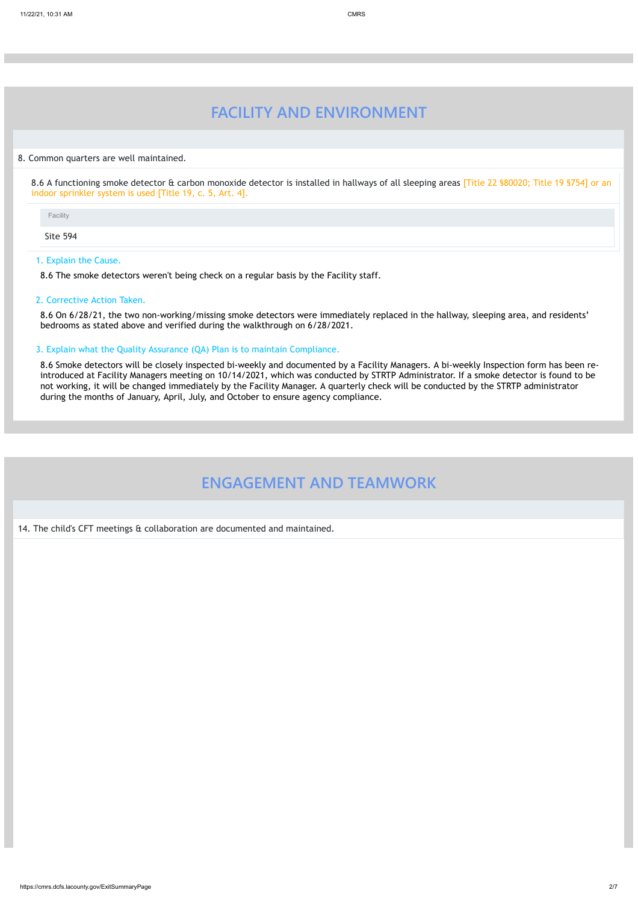https://cmrs.dcfs.lacounty.gov/ExitSummaryPage 2/7

# **FACILITY AND ENVIRONMENT**

#### 8. Common quarters are well maintained.

8.6 A functioning smoke detector & carbon monoxide detector is installed in hallways of all sleeping areas [Title 22 §80020; Title 19 §754] or an indoor sprinkler system is used [Title 19, c. 5, Art. 4].

Site 594

#### 1. Explain the Cause.

8.6 The smoke detectors weren't being check on a regular basis by the Facility staff.

#### 2. Corrective Action Taken.

8.6 On 6/28/21, the two non-working/missing smoke detectors were immediately replaced in the hallway, sleeping area, and residents' bedrooms as stated above and verified during the walkthrough on 6/28/2021.

#### 3. Explain what the Quality Assurance (QA) Plan is to maintain Compliance.

8.6 Smoke detectors will be closely inspected bi-weekly and documented by a Facility Managers. A bi-weekly Inspection form has been reintroduced at Facility Managers meeting on 10/14/2021, which was conducted by STRTP Administrator. If a smoke detector is found to be not working, it will be changed immediately by the Facility Manager. A quarterly check will be conducted by the STRTP administrator during the months of January, April, July, and October to ensure agency compliance.

# **ENGAGEMENT AND TEAMWORK**

14. The child's CFT meetings & collaboration are documented and maintained.

Facility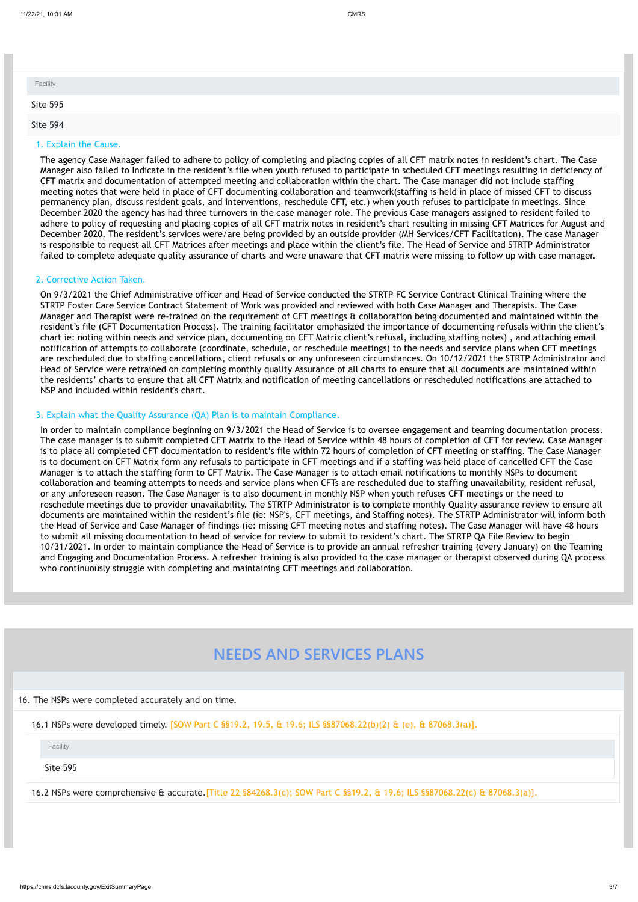#### 1. Explain the Cause.

The agency Case Manager failed to adhere to policy of completing and placing copies of all CFT matrix notes in resident's chart. The Case Manager also failed to Indicate in the resident's file when youth refused to participate in scheduled CFT meetings resulting in deficiency of CFT matrix and documentation of attempted meeting and collaboration within the chart. The Case manager did not include staffing meeting notes that were held in place of CFT documenting collaboration and teamwork(staffing is held in place of missed CFT to discuss permanency plan, discuss resident goals, and interventions, reschedule CFT, etc.) when youth refuses to participate in meetings. Since December 2020 the agency has had three turnovers in the case manager role. The previous Case managers assigned to resident failed to adhere to policy of requesting and placing copies of all CFT matrix notes in resident's chart resulting in missing CFT Matrices for August and December 2020. The resident's services were/are being provided by an outside provider (MH Services/CFT Facilitation). The case Manager is responsible to request all CFT Matrices after meetings and place within the client's file. The Head of Service and STRTP Administrator failed to complete adequate quality assurance of charts and were unaware that CFT matrix were missing to follow up with case manager.

#### 2. Corrective Action Taken.

On 9/3/2021 the Chief Administrative officer and Head of Service conducted the STRTP FC Service Contract Clinical Training where the STRTP Foster Care Service Contract Statement of Work was provided and reviewed with both Case Manager and Therapists. The Case Manager and Therapist were re-trained on the requirement of CFT meetings & collaboration being documented and maintained within the resident's file (CFT Documentation Process). The training facilitator emphasized the importance of documenting refusals within the client's chart ie: noting within needs and service plan, documenting on CFT Matrix client's refusal, including staffing notes) , and attaching email notification of attempts to collaborate (coordinate, schedule, or reschedule meetings) to the needs and service plans when CFT meetings are rescheduled due to staffing cancellations, client refusals or any unforeseen circumstances. On 10/12/2021 the STRTP Administrator and Head of Service were retrained on completing monthly quality Assurance of all charts to ensure that all documents are maintained within the residents' charts to ensure that all CFT Matrix and notification of meeting cancellations or rescheduled notifications are attached to NSP and included within resident's chart.

| Facility        |  |  |  |
|-----------------|--|--|--|
| <b>Site 595</b> |  |  |  |
| Site 594        |  |  |  |

#### 3. Explain what the Quality Assurance (QA) Plan is to maintain Compliance.

In order to maintain compliance beginning on 9/3/2021 the Head of Service is to oversee engagement and teaming documentation process. The case manager is to submit completed CFT Matrix to the Head of Service within 48 hours of completion of CFT for review. Case Manager is to place all completed CFT documentation to resident's file within 72 hours of completion of CFT meeting or staffing. The Case Manager is to document on CFT Matrix form any refusals to participate in CFT meetings and if a staffing was held place of cancelled CFT the Case Manager is to attach the staffing form to CFT Matrix. The Case Manager is to attach email notifications to monthly NSPs to document collaboration and teaming attempts to needs and service plans when CFTs are rescheduled due to staffing unavailability, resident refusal, or any unforeseen reason. The Case Manager is to also document in monthly NSP when youth refuses CFT meetings or the need to reschedule meetings due to provider unavailability. The STRTP Administrator is to complete monthly Quality assurance review to ensure all documents are maintained within the resident's file (ie: NSP's, CFT meetings, and Staffing notes). The STRTP Administrator will inform both the Head of Service and Case Manager of findings (ie: missing CFT meeting notes and staffing notes). The Case Manager will have 48 hours to submit all missing documentation to head of service for review to submit to resident's chart. The STRTP QA File Review to begin 10/31/2021. In order to maintain compliance the Head of Service is to provide an annual refresher training (every January) on the Teaming and Engaging and Documentation Process. A refresher training is also provided to the case manager or therapist observed during QA process who continuously struggle with completing and maintaining CFT meetings and collaboration.

# **NEEDS AND SERVICES PLANS**

### 16. The NSPs were completed accurately and on time.

16.1 NSPs were developed timely. [SOW Part C §§19.2, 19.5, & 19.6; ILS §§87068.22(b)(2) & (e), & 87068.3(a)].

Site 595

16.2 NSPs were comprehensive & accurate.[Title 22 §84268.3(c); SOW Part C §§19.2, & 19.6; ILS §§87068.22(c) & 87068.3(a)].

Facility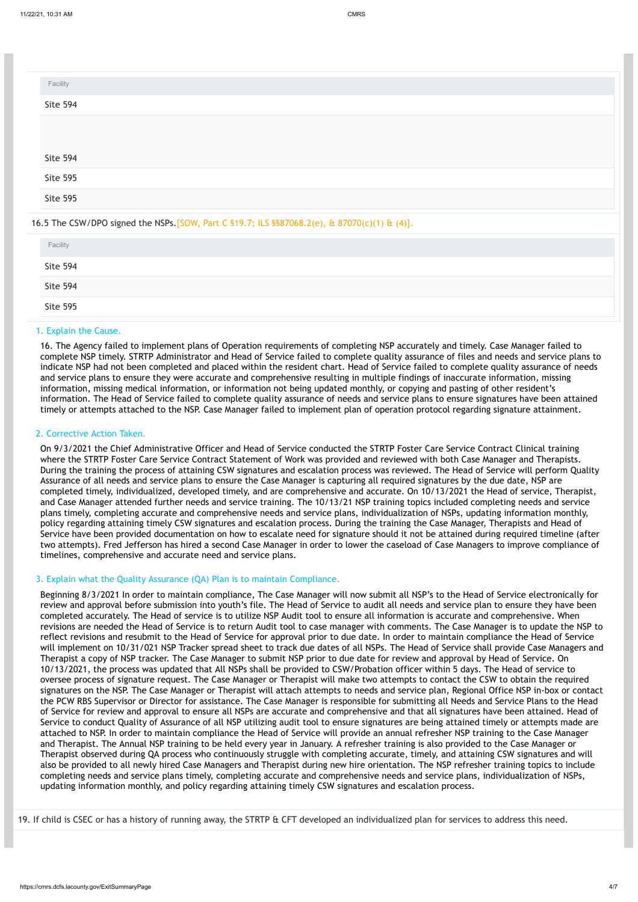#### 16.5 The CSW/DPO signed the NSPs.[SOW, Part C §19.7; ILS §§87068.2(e), & 87070(c)(1) & (4)].

#### 1. Explain the Cause.

16. The Agency failed to implement plans of Operation requirements of completing NSP accurately and timely. Case Manager failed to complete NSP timely. STRTP Administrator and Head of Service failed to complete quality assurance of files and needs and service plans to indicate NSP had not been completed and placed within the resident chart. Head of Service failed to complete quality assurance of needs and service plans to ensure they were accurate and comprehensive resulting in multiple findings of inaccurate information, missing information, missing medical information, or information not being updated monthly, or copying and pasting of other resident's information. The Head of Service failed to complete quality assurance of needs and service plans to ensure signatures have been attained timely or attempts attached to the NSP. Case Manager failed to implement plan of operation protocol regarding signature attainment.

#### 2. Corrective Action Taken.

On 9/3/2021 the Chief Administrative Officer and Head of Service conducted the STRTP Foster Care Service Contract Clinical training where the STRTP Foster Care Service Contract Statement of Work was provided and reviewed with both Case Manager and Therapists. During the training the process of attaining CSW signatures and escalation process was reviewed. The Head of Service will perform Quality Assurance of all needs and service plans to ensure the Case Manager is capturing all required signatures by the due date, NSP are completed timely, individualized, developed timely, and are comprehensive and accurate. On 10/13/2021 the Head of service, Therapist, and Case Manager attended further needs and service training. The 10/13/21 NSP training topics included completing needs and service plans timely, completing accurate and comprehensive needs and service plans, individualization of NSPs, updating information monthly, policy regarding attaining timely CSW signatures and escalation process. During the training the Case Manager, Therapists and Head of Service have been provided documentation on how to escalate need for signature should it not be attained during required timeline (after two attempts). Fred Jefferson has hired a second Case Manager in order to lower the caseload of Case Managers to improve compliance of timelines, comprehensive and accurate need and service plans.

#### 3. Explain what the Quality Assurance (QA) Plan is to maintain Compliance.

| Facility        |  |
|-----------------|--|
| Site 594        |  |
|                 |  |
|                 |  |
| Site 594        |  |
| Site 595        |  |
| <b>Site 595</b> |  |

| Facility        |  |
|-----------------|--|
| <b>Site 594</b> |  |
| Site 594        |  |
| <b>Site 595</b> |  |

Beginning 8/3/2021 In order to maintain compliance, The Case Manager will now submit all NSP's to the Head of Service electronically for review and approval before submission into youth's file. The Head of Service to audit all needs and service plan to ensure they have been completed accurately. The Head of service is to utilize NSP Audit tool to ensure all information is accurate and comprehensive. When revisions are needed the Head of Service is to return Audit tool to case manager with comments. The Case Manager is to update the NSP to reflect revisions and resubmit to the Head of Service for approval prior to due date. In order to maintain compliance the Head of Service will implement on 10/31/021 NSP Tracker spread sheet to track due dates of all NSPs. The Head of Service shall provide Case Managers and Therapist a copy of NSP tracker. The Case Manager to submit NSP prior to due date for review and approval by Head of Service. On 10/13/2021, the process was updated that All NSPs shall be provided to CSW/Probation officer within 5 days. The Head of service to oversee process of signature request. The Case Manager or Therapist will make two attempts to contact the CSW to obtain the required signatures on the NSP. The Case Manager or Therapist will attach attempts to needs and service plan, Regional Office NSP in-box or contact the PCW RBS Supervisor or Director for assistance. The Case Manager is responsible for submitting all Needs and Service Plans to the Head of Service for review and approval to ensure all NSPs are accurate and comprehensive and that all signatures have been attained. Head of Service to conduct Quality of Assurance of all NSP utilizing audit tool to ensure signatures are being attained timely or attempts made are attached to NSP. In order to maintain compliance the Head of Service will provide an annual refresher NSP training to the Case Manager and Therapist. The Annual NSP training to be held every year in January. A refresher training is also provided to the Case Manager or Therapist observed during QA process who continuously struggle with completing accurate, timely, and attaining CSW signatures and will also be provided to all newly hired Case Managers and Therapist during new hire orientation. The NSP refresher training topics to include completing needs and service plans timely, completing accurate and comprehensive needs and service plans, individualization of NSPs, updating information monthly, and policy regarding attaining timely CSW signatures and escalation process.

19. If child is CSEC or has a history of running away, the STRTP & CFT developed an individualized plan for services to address this need.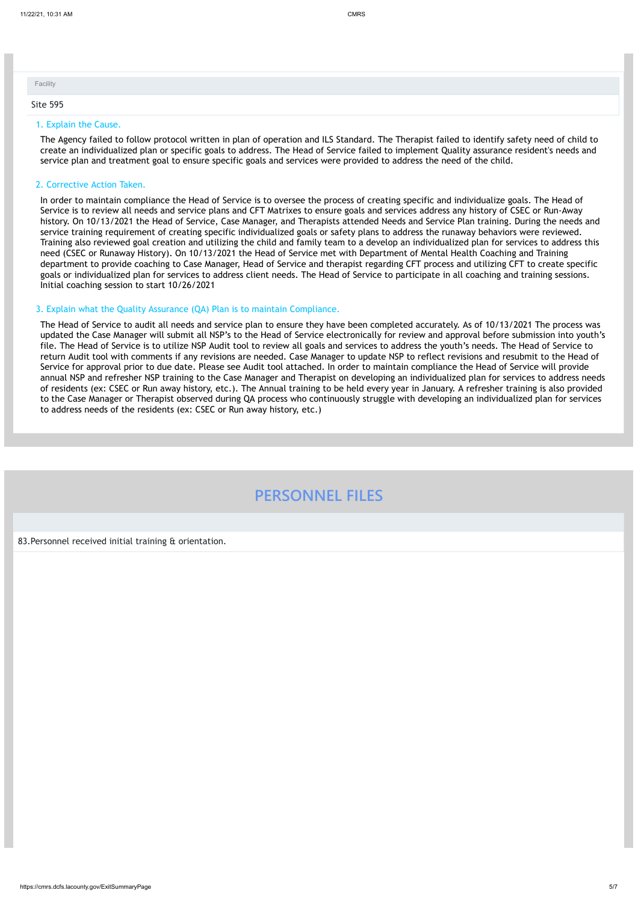#### 1. Explain the Cause.

The Agency failed to follow protocol written in plan of operation and ILS Standard. The Therapist failed to identify safety need of child to create an individualized plan or specific goals to address. The Head of Service failed to implement Quality assurance resident's needs and service plan and treatment goal to ensure specific goals and services were provided to address the need of the child.

#### 2. Corrective Action Taken.

In order to maintain compliance the Head of Service is to oversee the process of creating specific and individualize goals. The Head of Service is to review all needs and service plans and CFT Matrixes to ensure goals and services address any history of CSEC or Run-Away history. On 10/13/2021 the Head of Service, Case Manager, and Therapists attended Needs and Service Plan training. During the needs and service training requirement of creating specific individualized goals or safety plans to address the runaway behaviors were reviewed. Training also reviewed goal creation and utilizing the child and family team to a develop an individualized plan for services to address this need (CSEC or Runaway History). On 10/13/2021 the Head of Service met with Department of Mental Health Coaching and Training department to provide coaching to Case Manager, Head of Service and therapist regarding CFT process and utilizing CFT to create specific goals or individualized plan for services to address client needs. The Head of Service to participate in all coaching and training sessions. Initial coaching session to start 10/26/2021

| Facility        |  |  |
|-----------------|--|--|
| <b>Site 595</b> |  |  |

#### 3. Explain what the Quality Assurance (QA) Plan is to maintain Compliance.

The Head of Service to audit all needs and service plan to ensure they have been completed accurately. As of 10/13/2021 The process was updated the Case Manager will submit all NSP's to the Head of Service electronically for review and approval before submission into youth's file. The Head of Service is to utilize NSP Audit tool to review all goals and services to address the youth's needs. The Head of Service to return Audit tool with comments if any revisions are needed. Case Manager to update NSP to reflect revisions and resubmit to the Head of Service for approval prior to due date. Please see Audit tool attached. In order to maintain compliance the Head of Service will provide annual NSP and refresher NSP training to the Case Manager and Therapist on developing an individualized plan for services to address needs of residents (ex: CSEC or Run away history, etc.). The Annual training to be held every year in January. A refresher training is also provided to the Case Manager or Therapist observed during QA process who continuously struggle with developing an individualized plan for services to address needs of the residents (ex: CSEC or Run away history, etc.)

# **PERSONNEL FILES**

83.Personnel received initial training & orientation.

https://cmrs.dcfs.lacounty.gov/ExitSummaryPage 5/7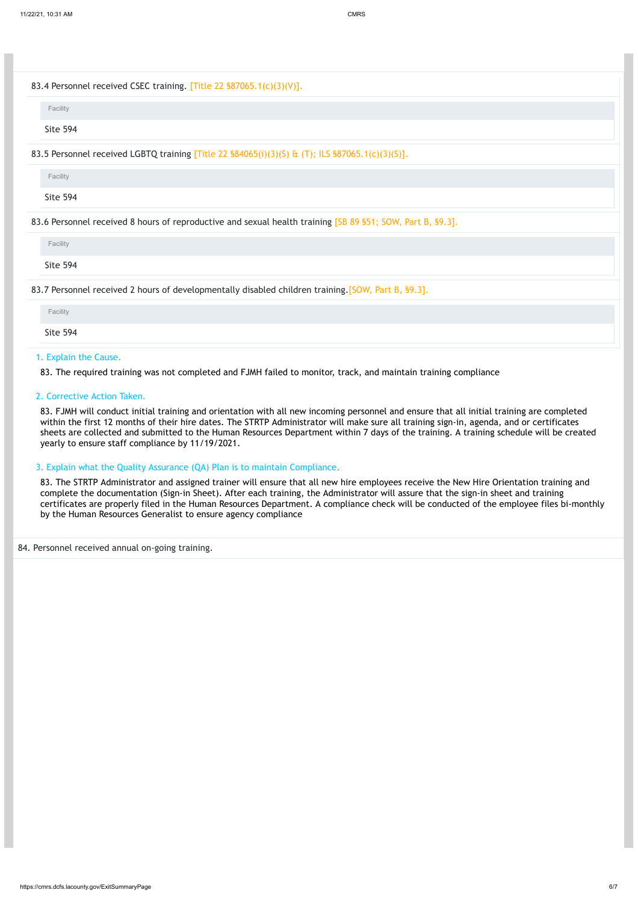https://cmrs.dcfs.lacounty.gov/ExitSummaryPage 6/7

### 83.4 Personnel received CSEC training. [Title 22 §87065.1(c)(3)(V)].

# 83.5 Personnel received LGBTQ training [Title 22 §84065(i)(3)(S) & (T); ILS §87065.1(c)(3)(S)].

#### 83.7 Personnel received 2 hours of developmentally disabled children training.[SOW, Part B, §9.3].

### 1. Explain the Cause.

83. The required training was not completed and FJMH failed to monitor, track, and maintain training compliance

# 2. Corrective Action Taken.

83. FJMH will conduct initial training and orientation with all new incoming personnel and ensure that all initial training are completed within the first 12 months of their hire dates. The STRTP Administrator will make sure all training sign-in, agenda, and or certificates sheets are collected and submitted to the Human Resources Department within 7 days of the training. A training schedule will be created yearly to ensure staff compliance by 11/19/2021.

| Facility        |  |  |  |
|-----------------|--|--|--|
| <b>Site 594</b> |  |  |  |

| Facility        |  |  |  |
|-----------------|--|--|--|
| <b>Site 594</b> |  |  |  |

#### 83.6 Personnel received 8 hours of reproductive and sexual health training [SB 89 §51; SOW, Part B, §9.3].

| Facility        |  |  |  |
|-----------------|--|--|--|
| <b>Site 594</b> |  |  |  |
|                 |  |  |  |

| Facility        |  |  |  |
|-----------------|--|--|--|
| <b>Site 594</b> |  |  |  |

# 3. Explain what the Quality Assurance (QA) Plan is to maintain Compliance.

83. The STRTP Administrator and assigned trainer will ensure that all new hire employees receive the New Hire Orientation training and complete the documentation (Sign-in Sheet). After each training, the Administrator will assure that the sign-in sheet and training certificates are properly filed in the Human Resources Department. A compliance check will be conducted of the employee files bi-monthly by the Human Resources Generalist to ensure agency compliance

# 84. Personnel received annual on-going training.